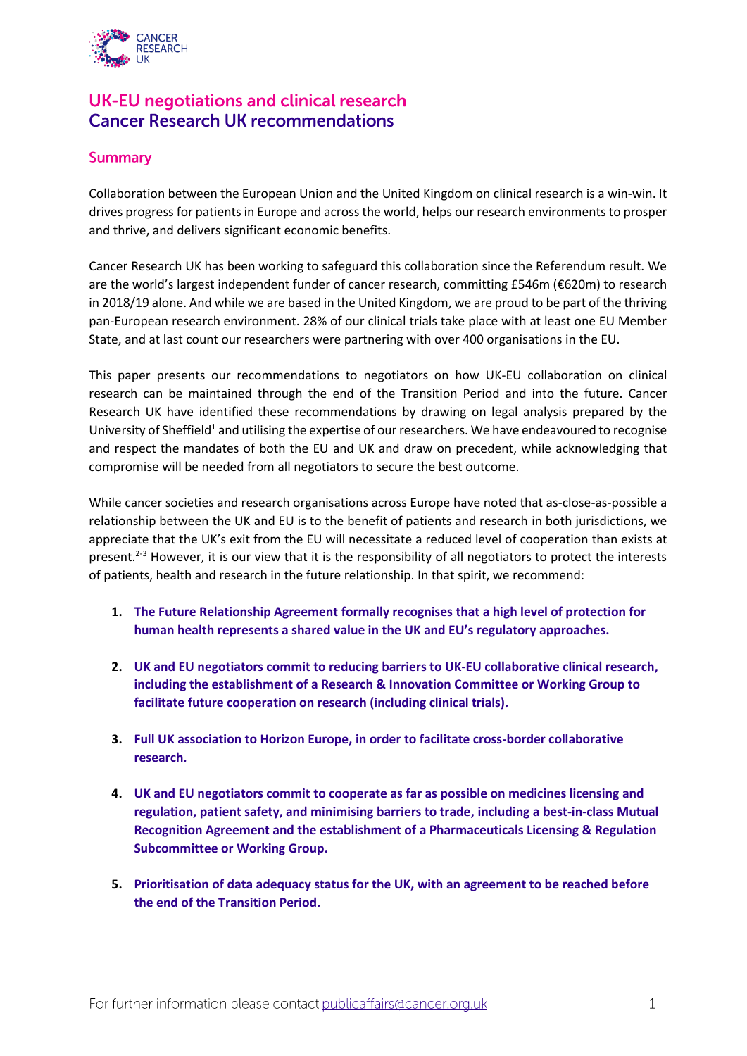

# UK-EU negotiations and clinical research **Cancer Research UK recommendations**

# **Summary**

Collaboration between the European Union and the United Kingdom on clinical research is a win-win. It drives progress for patients in Europe and across the world, helps our research environments to prosper and thrive, and delivers significant economic benefits.

Cancer Research UK has been working to safeguard this collaboration since the Referendum result. We are the world's largest independent funder of cancer research, committing £546m (€620m) to research in 2018/19 alone. And while we are based in the United Kingdom, we are proud to be part of the thriving pan-European research environment. 28% of our clinical trials take place with at least one EU Member State, and at last count our researchers were partnering with over 400 organisations in the EU.

This paper presents our recommendations to negotiators on how UK-EU collaboration on clinical research can be maintained through the end of the Transition Period and into the future. Cancer Research UK have identified these recommendations by drawing on legal analysis prepared by the University of Sheffield<sup>1</sup> and utilising the expertise of our researchers. We have endeavoured to recognise and respect the mandates of both the EU and UK and draw on precedent, while acknowledging that compromise will be needed from all negotiators to secure the best outcome.

While cancer societies and research organisations across Europe have noted that as-close-as-possible a relationship between the UK and EU is to the benefit of patients and research in both jurisdictions, we appreciate that the UK's exit from the EU will necessitate a reduced level of cooperation than exists at present.<sup>2-3</sup> However, it is our view that it is the responsibility of all negotiators to protect the interests of patients, health and research in the future relationship. In that spirit, we recommend:

- **1. [The Future Relationship Agreement formally recognises that a high level of protection for](#page-1-0)  [human health represents a shared value in](#page-1-0) the UK and EU's regulatory approaches.**
- **2. [UK and EU negotiators commit to reducing](#page-1-1) barriers to UK-EU collaborative clinical research, including the establishment of [a Research & Innovation Committee or Working Group to](#page-1-1)  facilitate future [cooperation on research](#page-1-1) (including clinical trials).**
- **3. [Full UK association to Horizon Europe, in order to facilitate cross-border collaborative](#page-3-0)  [research.](#page-3-0)**
- **4. [UK and EU negotiators commit to cooperate as far as possible on medicines licensing and](#page-4-0)  [regulation, patient safety, and minimising barriers to trade,](#page-4-0) including a best-in-class Mutual [Recognition Agreement and the establishment of](#page-4-0) a Pharmaceuticals Licensing & Regulation [Subcommittee or Working Group.](#page-4-0)**
- **5. [Prioritisation of data adequacy status for the UK, with an agreement to be reached before](#page-7-0)  [the end of the Transition Period.](#page-7-0)**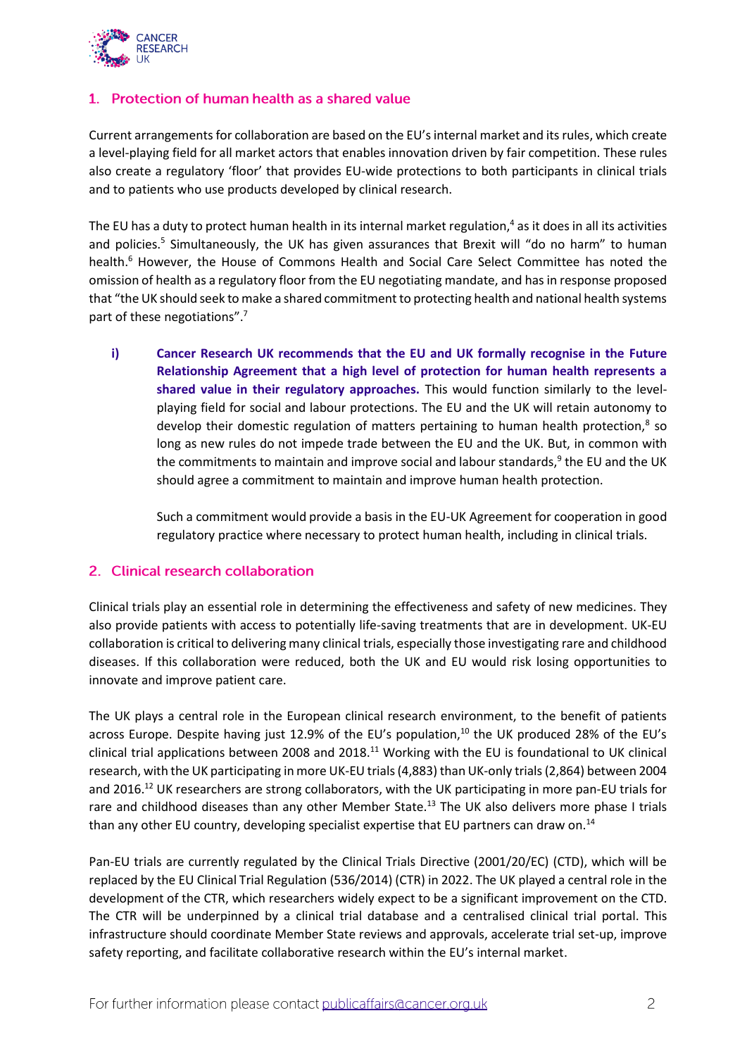

# <span id="page-1-0"></span>1. Protection of human health as a shared value

Current arrangements for collaboration are based on the EU's internal market and its rules, which create a level-playing field for all market actors that enables innovation driven by fair competition. These rules also create a regulatory 'floor' that provides EU-wide protections to both participants in clinical trials and to patients who use products developed by clinical research.

The EU has a duty to protect human health in its internal market regulation, $4$  as it does in all its activities and policies.<sup>5</sup> Simultaneously, the UK has given assurances that Brexit will "do no harm" to human health.<sup>6</sup> However, the House of Commons Health and Social Care Select Committee has noted the omission of health as a regulatory floor from the EU negotiating mandate, and has in response proposed that "the UK should seek to make a shared commitment to protecting health and national health systems part of these negotiations".<sup>7</sup>

**i) Cancer Research UK recommends that the EU and UK formally recognise in the Future Relationship Agreement that a high level of protection for human health represents a shared value in their regulatory approaches.** This would function similarly to the levelplaying field for social and labour protections. The EU and the UK will retain autonomy to develop their domestic regulation of matters pertaining to human health protection, $8$  so long as new rules do not impede trade between the EU and the UK. But, in common with the commitments to maintain and improve social and labour standards,<sup>9</sup> the EU and the UK should agree a commitment to maintain and improve human health protection.

Such a commitment would provide a basis in the EU-UK Agreement for cooperation in good regulatory practice where necessary to protect human health, including in clinical trials.

## <span id="page-1-1"></span>2. Clinical research collaboration

Clinical trials play an essential role in determining the effectiveness and safety of new medicines. They also provide patients with access to potentially life-saving treatments that are in development. UK-EU collaboration is critical to delivering many clinical trials, especially those investigating rare and childhood diseases. If this collaboration were reduced, both the UK and EU would risk losing opportunities to innovate and improve patient care.

The UK plays a central role in the European clinical research environment, to the benefit of patients across Europe. Despite having just 12.9% of the EU's population,<sup>10</sup> the UK produced 28% of the EU's clinical trial applications between 2008 and 2018.<sup>11</sup> Working with the EU is foundational to UK clinical research, with the UK participating in more UK-EU trials (4,883) than UK-only trials (2,864) between 2004 and 2016.<sup>12</sup> UK researchers are strong collaborators, with the UK participating in more pan-EU trials for rare and childhood diseases than any other Member State.<sup>13</sup> The UK also delivers more phase I trials than any other EU country, developing specialist expertise that EU partners can draw on.<sup>14</sup>

Pan-EU trials are currently regulated by the Clinical Trials Directive (2001/20/EC) (CTD), which will be replaced by the EU Clinical Trial Regulation (536/2014) (CTR) in 2022. The UK played a central role in the development of the CTR, which researchers widely expect to be a significant improvement on the CTD. The CTR will be underpinned by a clinical trial database and a centralised clinical trial portal. This infrastructure should coordinate Member State reviews and approvals, accelerate trial set-up, improve safety reporting, and facilitate collaborative research within the EU's internal market.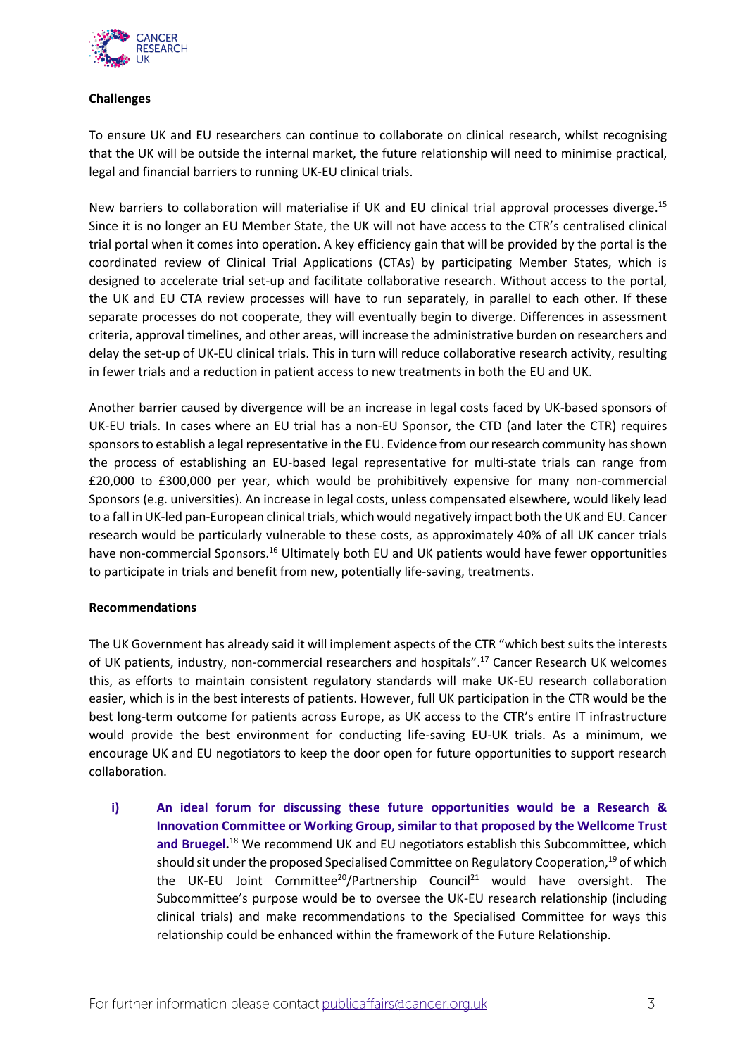

### **Challenges**

To ensure UK and EU researchers can continue to collaborate on clinical research, whilst recognising that the UK will be outside the internal market, the future relationship will need to minimise practical, legal and financial barriers to running UK-EU clinical trials.

New barriers to collaboration will materialise if UK and EU clinical trial approval processes diverge.<sup>15</sup> Since it is no longer an EU Member State, the UK will not have access to the CTR's centralised clinical trial portal when it comes into operation. A key efficiency gain that will be provided by the portal is the coordinated review of Clinical Trial Applications (CTAs) by participating Member States, which is designed to accelerate trial set-up and facilitate collaborative research. Without access to the portal, the UK and EU CTA review processes will have to run separately, in parallel to each other. If these separate processes do not cooperate, they will eventually begin to diverge. Differences in assessment criteria, approval timelines, and other areas, will increase the administrative burden on researchers and delay the set-up of UK-EU clinical trials. This in turn will reduce collaborative research activity, resulting in fewer trials and a reduction in patient access to new treatments in both the EU and UK.

Another barrier caused by divergence will be an increase in legal costs faced by UK-based sponsors of UK-EU trials. In cases where an EU trial has a non-EU Sponsor, the CTD (and later the CTR) requires sponsors to establish a legal representative in the EU. Evidence from our research community has shown the process of establishing an EU-based legal representative for multi-state trials can range from £20,000 to £300,000 per year, which would be prohibitively expensive for many non-commercial Sponsors (e.g. universities). An increase in legal costs, unless compensated elsewhere, would likely lead to a fall in UK-led pan-European clinical trials, which would negatively impact both the UK and EU. Cancer research would be particularly vulnerable to these costs, as approximately 40% of all UK cancer trials have non-commercial Sponsors.<sup>16</sup> Ultimately both EU and UK patients would have fewer opportunities to participate in trials and benefit from new, potentially life-saving, treatments.

### **Recommendations**

The UK Government has already said it will implement aspects of the CTR "which best suits the interests of UK patients, industry, non-commercial researchers and hospitals".<sup>17</sup> Cancer Research UK welcomes this, as efforts to maintain consistent regulatory standards will make UK-EU research collaboration easier, which is in the best interests of patients. However, full UK participation in the CTR would be the best long-term outcome for patients across Europe, as UK access to the CTR's entire IT infrastructure would provide the best environment for conducting life-saving EU-UK trials. As a minimum, we encourage UK and EU negotiators to keep the door open for future opportunities to support research collaboration.

**i) An ideal forum for discussing these future opportunities would be a Research & Innovation Committee or Working Group, similar to that proposed by the Wellcome Trust**  and Bruegel.<sup>18</sup> We recommend UK and EU negotiators establish this Subcommittee, which should sit under the proposed Specialised Committee on Regulatory Cooperation,<sup>19</sup> of which the UK-EU Joint Committee<sup>20</sup>/Partnership Council<sup>21</sup> would have oversight. The Subcommittee's purpose would be to oversee the UK-EU research relationship (including clinical trials) and make recommendations to the Specialised Committee for ways this relationship could be enhanced within the framework of the Future Relationship.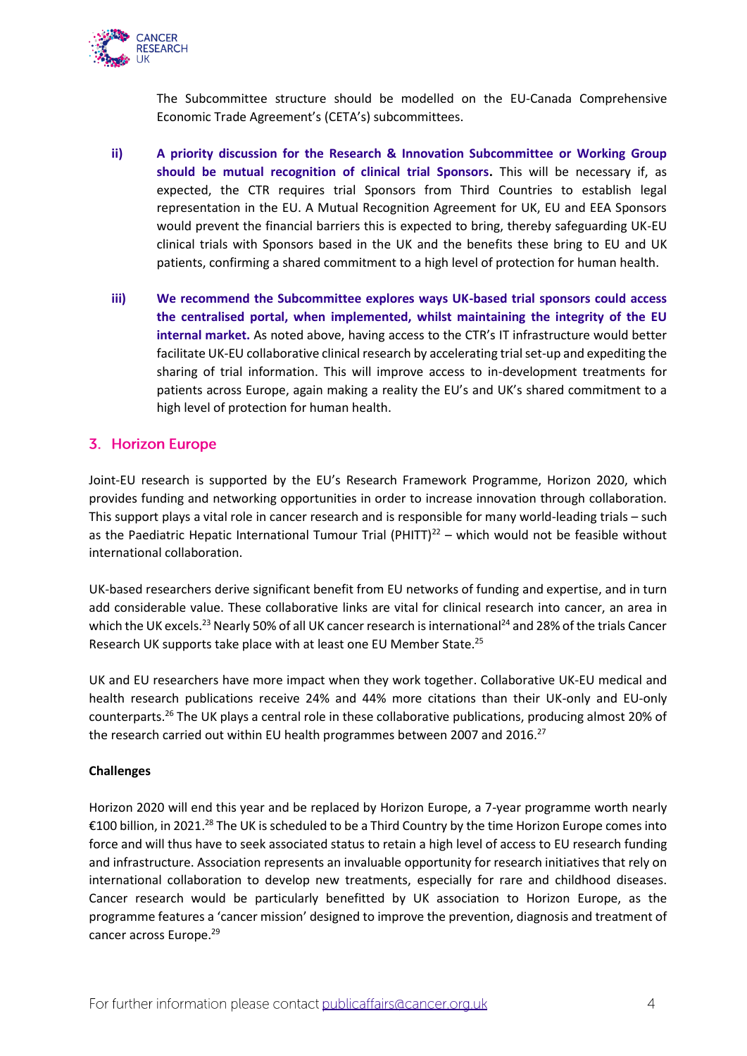

The Subcommittee structure should be modelled on the EU-Canada Comprehensive Economic Trade Agreement's (CETA's) subcommittees.

- **ii) A priority discussion for the Research & Innovation Subcommittee or Working Group should be mutual recognition of clinical trial Sponsors.** This will be necessary if, as expected, the CTR requires trial Sponsors from Third Countries to establish legal representation in the EU. A Mutual Recognition Agreement for UK, EU and EEA Sponsors would prevent the financial barriers this is expected to bring, thereby safeguarding UK-EU clinical trials with Sponsors based in the UK and the benefits these bring to EU and UK patients, confirming a shared commitment to a high level of protection for human health.
- **iii) We recommend the Subcommittee explores ways UK-based trial sponsors could access the centralised portal, when implemented, whilst maintaining the integrity of the EU internal market.** As noted above, having access to the CTR's IT infrastructure would better facilitate UK-EU collaborative clinical research by accelerating trial set-up and expediting the sharing of trial information. This will improve access to in-development treatments for patients across Europe, again making a reality the EU's and UK's shared commitment to a high level of protection for human health.

## <span id="page-3-0"></span>3. Horizon Europe

Joint-EU research is supported by the EU's Research Framework Programme, Horizon 2020, which provides funding and networking opportunities in order to increase innovation through collaboration. This support plays a vital role in cancer research and is responsible for many world-leading trials – such as the Paediatric Hepatic International Tumour Trial (PHITT) $^{22}$  – which would not be feasible without international collaboration.

UK-based researchers derive significant benefit from EU networks of funding and expertise, and in turn add considerable value. These collaborative links are vital for clinical research into cancer, an area in which the UK excels.<sup>23</sup> Nearly 50% of all UK cancer research is international<sup>24</sup> and 28% of the trials Cancer Research UK supports take place with at least one EU Member State.<sup>25</sup>

UK and EU researchers have more impact when they work together. Collaborative UK-EU medical and health research publications receive 24% and 44% more citations than their UK-only and EU-only counterparts.<sup>26</sup> The UK plays a central role in these collaborative publications, producing almost 20% of the research carried out within EU health programmes between 2007 and 2016.<sup>27</sup>

### **Challenges**

Horizon 2020 will end this year and be replaced by Horizon Europe, a 7-year programme worth nearly €100 billion, in 2021.<sup>28</sup> The UK is scheduled to be a Third Country by the time Horizon Europe comes into force and will thus have to seek associated status to retain a high level of access to EU research funding and infrastructure. Association represents an invaluable opportunity for research initiatives that rely on international collaboration to develop new treatments, especially for rare and childhood diseases. Cancer research would be particularly benefitted by UK association to Horizon Europe, as the programme features a 'cancer mission' designed to improve the prevention, diagnosis and treatment of cancer across Europe.<sup>29</sup>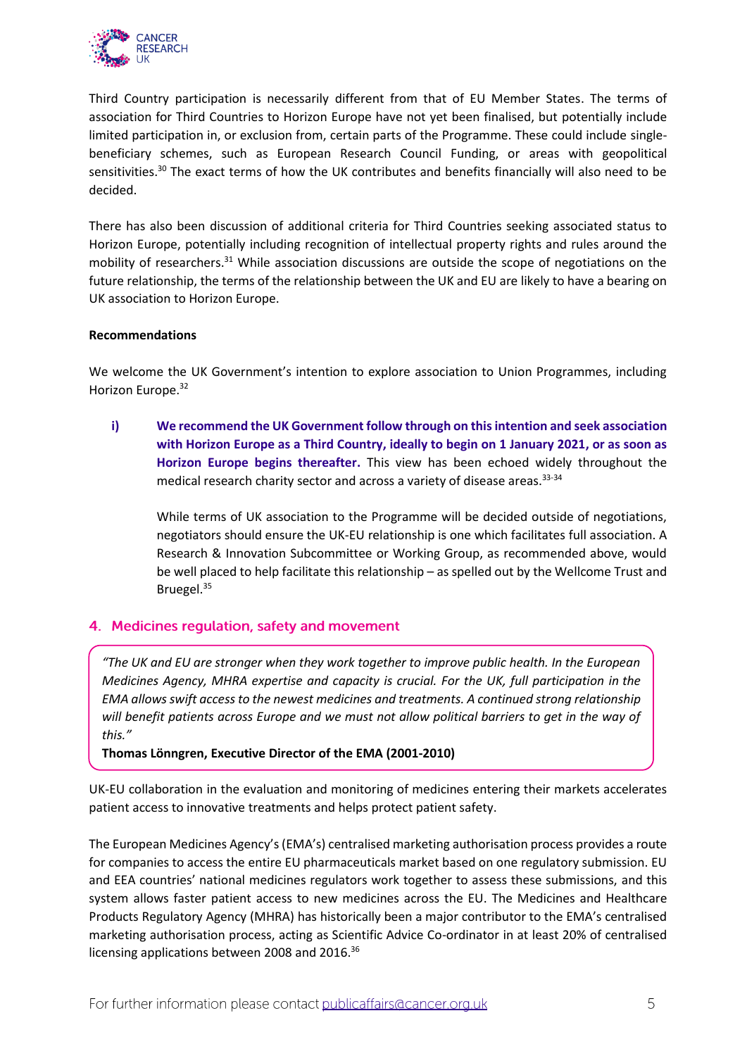

Third Country participation is necessarily different from that of EU Member States. The terms of association for Third Countries to Horizon Europe have not yet been finalised, but potentially include limited participation in, or exclusion from, certain parts of the Programme. These could include singlebeneficiary schemes, such as European Research Council Funding, or areas with geopolitical sensitivities.<sup>30</sup> The exact terms of how the UK contributes and benefits financially will also need to be decided.

There has also been discussion of additional criteria for Third Countries seeking associated status to Horizon Europe, potentially including recognition of intellectual property rights and rules around the mobility of researchers.<sup>31</sup> While association discussions are outside the scope of negotiations on the future relationship, the terms of the relationship between the UK and EU are likely to have a bearing on UK association to Horizon Europe.

### **Recommendations**

We welcome the UK Government's intention to explore association to Union Programmes, including Horizon Europe.<sup>32</sup>

**i) We recommend the UK Government follow through on this intention and seek association with Horizon Europe as a Third Country, ideally to begin on 1 January 2021, or as soon as Horizon Europe begins thereafter.** This view has been echoed widely throughout the medical research charity sector and across a variety of disease areas.<sup>33-34</sup>

While terms of UK association to the Programme will be decided outside of negotiations, negotiators should ensure the UK-EU relationship is one which facilitates full association. A Research & Innovation Subcommittee or Working Group, as recommended above, would be well placed to help facilitate this relationship – as spelled out by the Wellcome Trust and Bruegel. 35

# <span id="page-4-0"></span>4. Medicines regulation, safety and movement

*"The UK and EU are stronger when they work together to improve public health. In the European Medicines Agency, MHRA expertise and capacity is crucial. For the UK, full participation in the EMA allows swift access to the newest medicines and treatments. A continued strong relationship will benefit patients across Europe and we must not allow political barriers to get in the way of this."*

### **Thomas Lönngren, Executive Director of the EMA (2001-2010)**

UK-EU collaboration in the evaluation and monitoring of medicines entering their markets accelerates patient access to innovative treatments and helps protect patient safety.

The European Medicines Agency's (EMA's) centralised marketing authorisation process provides a route for companies to access the entire EU pharmaceuticals market based on one regulatory submission. EU and EEA countries' national medicines regulators work together to assess these submissions, and this system allows faster patient access to new medicines across the EU. The Medicines and Healthcare Products Regulatory Agency (MHRA) has historically been a major contributor to the EMA's centralised marketing authorisation process, acting as Scientific Advice Co-ordinator in at least 20% of centralised licensing applications between 2008 and 2016.<sup>36</sup>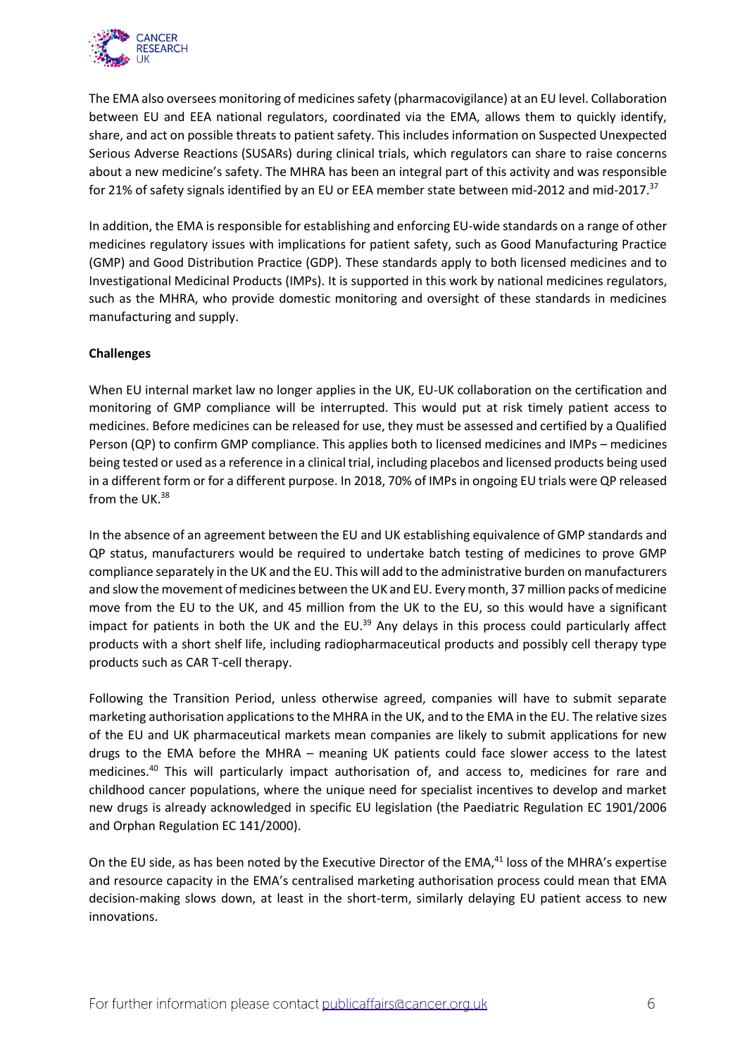

The EMA also oversees monitoring of medicines safety (pharmacovigilance) at an EU level. Collaboration between EU and EEA national regulators, coordinated via the EMA, allows them to quickly identify, share, and act on possible threats to patient safety. This includes information on Suspected Unexpected Serious Adverse Reactions (SUSARs) during clinical trials, which regulators can share to raise concerns about a new medicine's safety. The MHRA has been an integral part of this activity and was responsible for 21% of safety signals identified by an EU or EEA member state between mid-2012 and mid-2017.<sup>37</sup>

In addition, the EMA is responsible for establishing and enforcing EU-wide standards on a range of other medicines regulatory issues with implications for patient safety, such as Good Manufacturing Practice (GMP) and Good Distribution Practice (GDP). These standards apply to both licensed medicines and to Investigational Medicinal Products (IMPs). It is supported in this work by national medicines regulators, such as the MHRA, who provide domestic monitoring and oversight of these standards in medicines manufacturing and supply.

### **Challenges**

When EU internal market law no longer applies in the UK, EU-UK collaboration on the certification and monitoring of GMP compliance will be interrupted. This would put at risk timely patient access to medicines. Before medicines can be released for use, they must be assessed and certified by a Qualified Person (QP) to confirm GMP compliance. This applies both to licensed medicines and IMPs – medicines being tested or used as a reference in a clinical trial, including placebos and licensed products being used in a different form or for a different purpose. In 2018, 70% of IMPs in ongoing EU trials were QP released from the UK.<sup>38</sup>

In the absence of an agreement between the EU and UK establishing equivalence of GMP standards and QP status, manufacturers would be required to undertake batch testing of medicines to prove GMP compliance separately in the UK and the EU. This will add to the administrative burden on manufacturers and slow the movement of medicines between the UK and EU. Every month, 37 million packs of medicine move from the EU to the UK, and 45 million from the UK to the EU, so this would have a significant impact for patients in both the UK and the EU.<sup>39</sup> Any delays in this process could particularly affect products with a short shelf life, including radiopharmaceutical products and possibly cell therapy type products such as CAR T-cell therapy.

Following the Transition Period, unless otherwise agreed, companies will have to submit separate marketing authorisation applications to the MHRA in the UK, and to the EMA in the EU. The relative sizes of the EU and UK pharmaceutical markets mean companies are likely to submit applications for new drugs to the EMA before the MHRA – meaning UK patients could face slower access to the latest medicines.<sup>40</sup> This will particularly impact authorisation of, and access to, medicines for rare and childhood cancer populations, where the unique need for specialist incentives to develop and market new drugs is already acknowledged in specific EU legislation (the Paediatric Regulation EC 1901/2006 and Orphan Regulation EC 141/2000).

On the EU side, as has been noted by the Executive Director of the EMA, $41$  loss of the MHRA's expertise and resource capacity in the EMA's centralised marketing authorisation process could mean that EMA decision-making slows down, at least in the short-term, similarly delaying EU patient access to new innovations.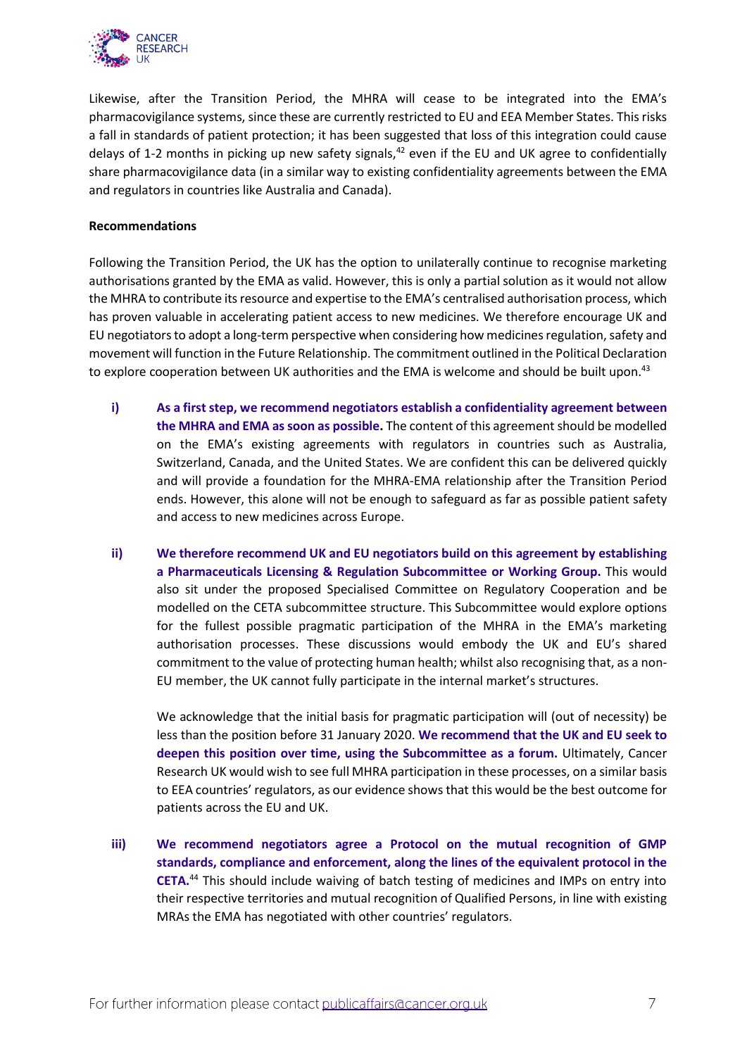

Likewise, after the Transition Period, the MHRA will cease to be integrated into the EMA's pharmacovigilance systems, since these are currently restricted to EU and EEA Member States. This risks a fall in standards of patient protection; it has been suggested that loss of this integration could cause delays of 1-2 months in picking up new safety signals,  $42$  even if the EU and UK agree to confidentially share pharmacovigilance data (in a similar way to existing confidentiality agreements between the EMA and regulators in countries like Australia and Canada).

#### **Recommendations**

Following the Transition Period, the UK has the option to unilaterally continue to recognise marketing authorisations granted by the EMA as valid. However, this is only a partial solution as it would not allow the MHRA to contribute its resource and expertise to the EMA's centralised authorisation process, which has proven valuable in accelerating patient access to new medicines. We therefore encourage UK and EU negotiators to adopt a long-term perspective when considering how medicines regulation, safety and movement will function in the Future Relationship. The commitment outlined in the Political Declaration to explore cooperation between UK authorities and the EMA is welcome and should be built upon.<sup>43</sup>

- **i) As a first step, we recommend negotiators establish a confidentiality agreement between the MHRA and EMA as soon as possible.** The content of this agreement should be modelled on the EMA's existing agreements with regulators in countries such as Australia, Switzerland, Canada, and the United States. We are confident this can be delivered quickly and will provide a foundation for the MHRA-EMA relationship after the Transition Period ends. However, this alone will not be enough to safeguard as far as possible patient safety and access to new medicines across Europe.
- **ii) We therefore recommend UK and EU negotiators build on this agreement by establishing a Pharmaceuticals Licensing & Regulation Subcommittee or Working Group.** This would also sit under the proposed Specialised Committee on Regulatory Cooperation and be modelled on the CETA subcommittee structure. This Subcommittee would explore options for the fullest possible pragmatic participation of the MHRA in the EMA's marketing authorisation processes. These discussions would embody the UK and EU's shared commitment to the value of protecting human health; whilst also recognising that, as a non-EU member, the UK cannot fully participate in the internal market's structures.

We acknowledge that the initial basis for pragmatic participation will (out of necessity) be less than the position before 31 January 2020. **We recommend that the UK and EU seek to deepen this position over time, using the Subcommittee as a forum.** Ultimately, Cancer Research UK would wish to see full MHRA participation in these processes, on a similar basis to EEA countries' regulators, as our evidence shows that this would be the best outcome for patients across the EU and UK.

**iii) We recommend negotiators agree a Protocol on the mutual recognition of GMP standards, compliance and enforcement, along the lines of the equivalent protocol in the CETA.**<sup>44</sup> This should include waiving of batch testing of medicines and IMPs on entry into their respective territories and mutual recognition of Qualified Persons, in line with existing MRAs the EMA has negotiated with other countries' regulators.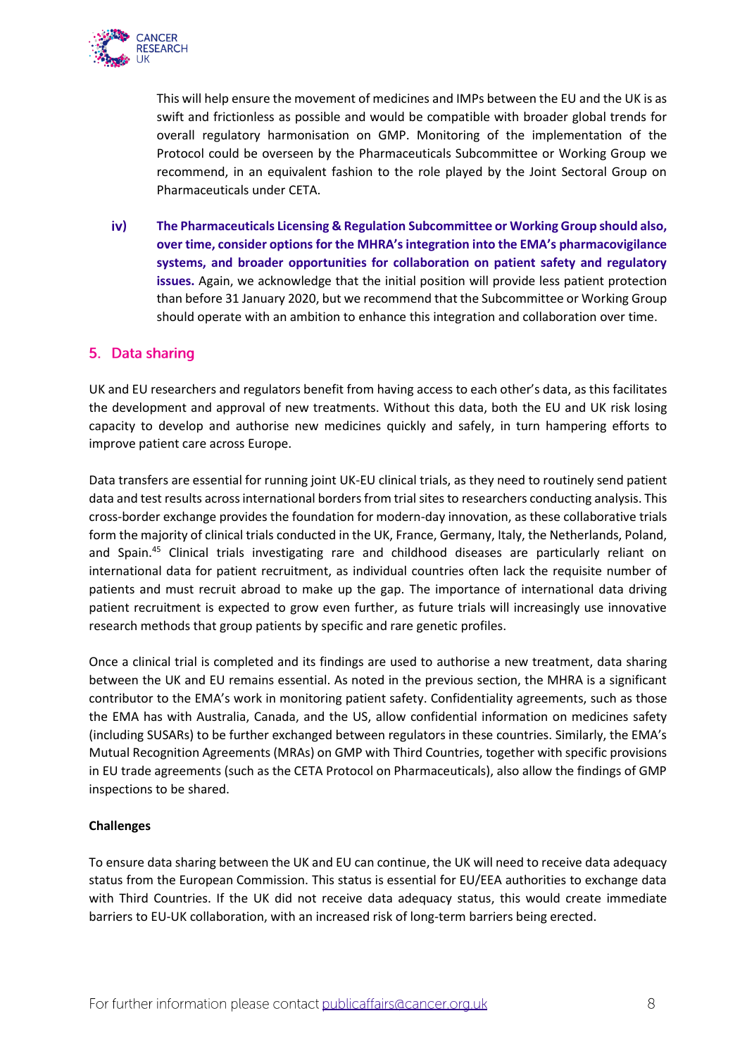

This will help ensure the movement of medicines and IMPs between the EU and the UK is as swift and frictionless as possible and would be compatible with broader global trends for overall regulatory harmonisation on GMP. Monitoring of the implementation of the Protocol could be overseen by the Pharmaceuticals Subcommittee or Working Group we recommend, in an equivalent fashion to the role played by the Joint Sectoral Group on Pharmaceuticals under CETA.

 $iv)$ **The Pharmaceuticals Licensing & Regulation Subcommittee or Working Group should also, over time, consider options for the MHRA's integration into the EMA's pharmacovigilance systems, and broader opportunities for collaboration on patient safety and regulatory issues.** Again, we acknowledge that the initial position will provide less patient protection than before 31 January 2020, but we recommend that the Subcommittee or Working Group should operate with an ambition to enhance this integration and collaboration over time.

## <span id="page-7-0"></span>5. Data sharing

UK and EU researchers and regulators benefit from having access to each other's data, as this facilitates the development and approval of new treatments. Without this data, both the EU and UK risk losing capacity to develop and authorise new medicines quickly and safely, in turn hampering efforts to improve patient care across Europe.

Data transfers are essential for running joint UK-EU clinical trials, as they need to routinely send patient data and test results across international borders from trial sites to researchers conducting analysis. This cross-border exchange provides the foundation for modern-day innovation, as these collaborative trials form the majority of clinical trials conducted in the UK, France, Germany, Italy, the Netherlands, Poland, and Spain.<sup>45</sup> Clinical trials investigating rare and childhood diseases are particularly reliant on international data for patient recruitment, as individual countries often lack the requisite number of patients and must recruit abroad to make up the gap. The importance of international data driving patient recruitment is expected to grow even further, as future trials will increasingly use innovative research methods that group patients by specific and rare genetic profiles.

Once a clinical trial is completed and its findings are used to authorise a new treatment, data sharing between the UK and EU remains essential. As noted in the previous section, the MHRA is a significant contributor to the EMA's work in monitoring patient safety. Confidentiality agreements, such as those the EMA has with Australia, Canada, and the US, allow confidential information on medicines safety (including SUSARs) to be further exchanged between regulators in these countries. Similarly, the EMA's Mutual Recognition Agreements (MRAs) on GMP with Third Countries, together with specific provisions in EU trade agreements (such as the CETA Protocol on Pharmaceuticals), also allow the findings of GMP inspections to be shared.

## **Challenges**

To ensure data sharing between the UK and EU can continue, the UK will need to receive data adequacy status from the European Commission. This status is essential for EU/EEA authorities to exchange data with Third Countries. If the UK did not receive data adequacy status, this would create immediate barriers to EU-UK collaboration, with an increased risk of long-term barriers being erected.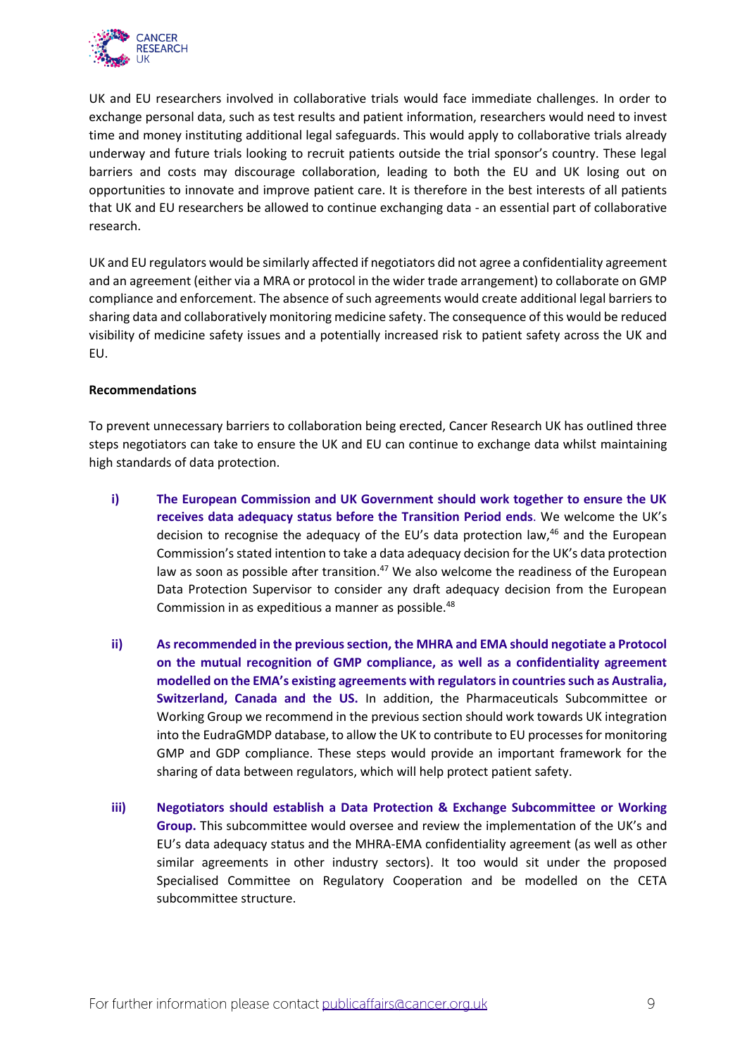

UK and EU researchers involved in collaborative trials would face immediate challenges. In order to exchange personal data, such as test results and patient information, researchers would need to invest time and money instituting additional legal safeguards. This would apply to collaborative trials already underway and future trials looking to recruit patients outside the trial sponsor's country. These legal barriers and costs may discourage collaboration, leading to both the EU and UK losing out on opportunities to innovate and improve patient care. It is therefore in the best interests of all patients that UK and EU researchers be allowed to continue exchanging data - an essential part of collaborative research.

UK and EU regulators would be similarly affected if negotiators did not agree a confidentiality agreement and an agreement (either via a MRA or protocol in the wider trade arrangement) to collaborate on GMP compliance and enforcement. The absence of such agreements would create additional legal barriers to sharing data and collaboratively monitoring medicine safety. The consequence of this would be reduced visibility of medicine safety issues and a potentially increased risk to patient safety across the UK and EU.

### **Recommendations**

To prevent unnecessary barriers to collaboration being erected, Cancer Research UK has outlined three steps negotiators can take to ensure the UK and EU can continue to exchange data whilst maintaining high standards of data protection.

- **i) The European Commission and UK Government should work together to ensure the UK receives data adequacy status before the Transition Period ends**. We welcome the UK's decision to recognise the adequacy of the EU's data protection law, $46$  and the European Commission's stated intention to take a data adequacy decision for the UK's data protection law as soon as possible after transition.<sup>47</sup> We also welcome the readiness of the European Data Protection Supervisor to consider any draft adequacy decision from the European Commission in as expeditious a manner as possible.<sup>48</sup>
- **ii) Asrecommended in the previous section, the MHRA and EMA should negotiate a Protocol on the mutual recognition of GMP compliance, as well as a confidentiality agreement modelled on the EMA's existing agreements with regulators in countries such as Australia, Switzerland, Canada and the US.** In addition, the Pharmaceuticals Subcommittee or Working Group we recommend in the previous section should work towards UK integration into the EudraGMDP database, to allow the UK to contribute to EU processes for monitoring GMP and GDP compliance. These steps would provide an important framework for the sharing of data between regulators, which will help protect patient safety.
- **iii) Negotiators should establish a Data Protection & Exchange Subcommittee or Working Group.** This subcommittee would oversee and review the implementation of the UK's and EU's data adequacy status and the MHRA-EMA confidentiality agreement (as well as other similar agreements in other industry sectors). It too would sit under the proposed Specialised Committee on Regulatory Cooperation and be modelled on the CETA subcommittee structure.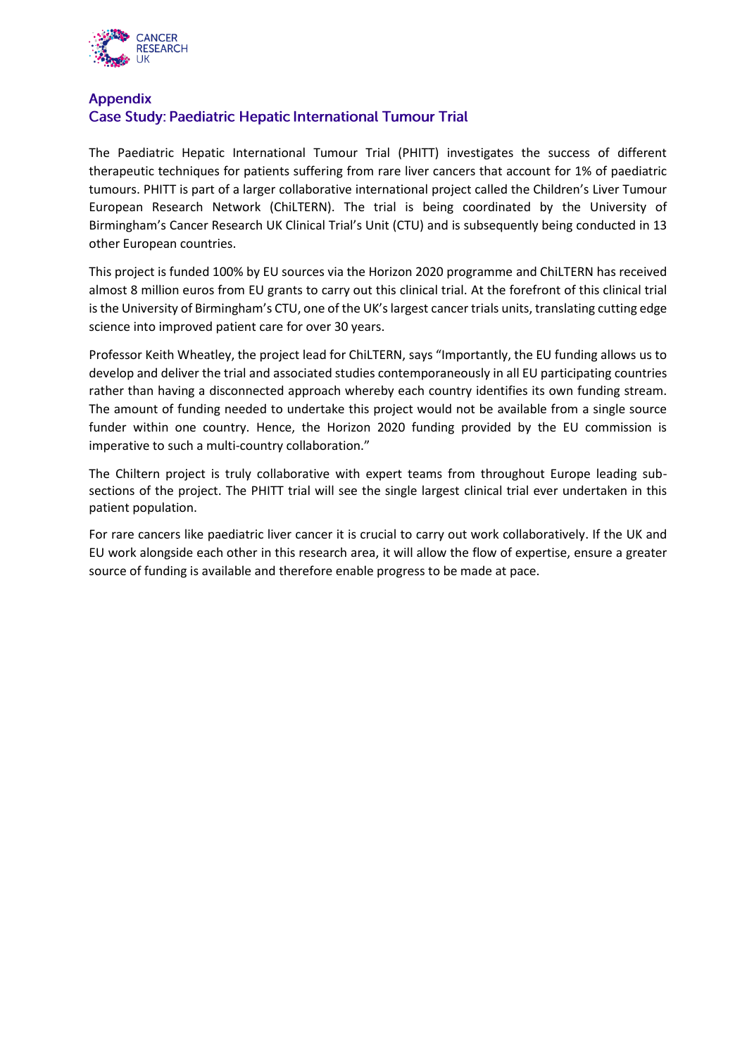

# **Appendix Case Study: Paediatric Hepatic International Tumour Trial**

The Paediatric Hepatic International Tumour Trial (PHITT) investigates the success of different therapeutic techniques for patients suffering from rare liver cancers that account for 1% of paediatric tumours. PHITT is part of a larger collaborative international project called the Children's Liver Tumour European Research Network (ChiLTERN). The trial is being coordinated by the University of Birmingham's Cancer Research UK Clinical Trial's Unit (CTU) and is subsequently being conducted in 13 other European countries.

This project is funded 100% by EU sources via the Horizon 2020 programme and ChiLTERN has received almost 8 million euros from EU grants to carry out this clinical trial. At the forefront of this clinical trial is the University of Birmingham's CTU, one of the UK's largest cancer trials units, translating cutting edge science into improved patient care for over 30 years.

Professor Keith Wheatley, the project lead for ChiLTERN, says "Importantly, the EU funding allows us to develop and deliver the trial and associated studies contemporaneously in all EU participating countries rather than having a disconnected approach whereby each country identifies its own funding stream. The amount of funding needed to undertake this project would not be available from a single source funder within one country. Hence, the Horizon 2020 funding provided by the EU commission is imperative to such a multi-country collaboration."

The Chiltern project is truly collaborative with expert teams from throughout Europe leading subsections of the project. The PHITT trial will see the single largest clinical trial ever undertaken in this patient population.

For rare cancers like paediatric liver cancer it is crucial to carry out work collaboratively. If the UK and EU work alongside each other in this research area, it will allow the flow of expertise, ensure a greater source of funding is available and therefore enable progress to be made at pace.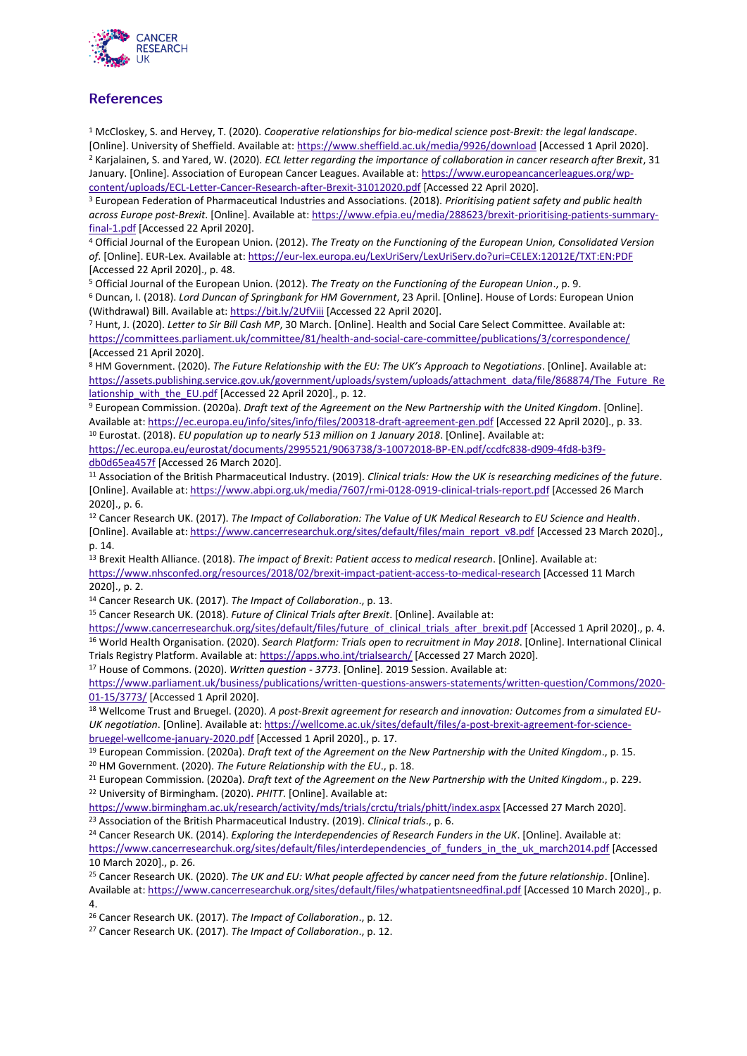

# **References**

<sup>1</sup> McCloskey, S. and Hervey, T. (2020). *Cooperative relationships for bio-medical science post-Brexit: the legal landscape*. [Online]. University of Sheffield. Available at:<https://www.sheffield.ac.uk/media/9926/download> [Accessed 1 April 2020]. <sup>2</sup> Karjalainen, S. and Yared, W. (2020). *ECL letter regarding the importance of collaboration in cancer research after Brexit*, 31 January. [Online]. Association of European Cancer Leagues. Available at: [https://www.europeancancerleagues.org/wp](https://www.europeancancerleagues.org/wp-content/uploads/ECL-Letter-Cancer-Research-after-Brexit-31012020.pdf)[content/uploads/ECL-Letter-Cancer-Research-after-Brexit-31012020.pdf](https://www.europeancancerleagues.org/wp-content/uploads/ECL-Letter-Cancer-Research-after-Brexit-31012020.pdf) [Accessed 22 April 2020].

<sup>3</sup> European Federation of Pharmaceutical Industries and Associations. (2018). *Prioritising patient safety and public health across Europe post-Brexit*. [Online]. Available at[: https://www.efpia.eu/media/288623/brexit-prioritising-patients-summary](https://www.efpia.eu/media/288623/brexit-prioritising-patients-summary-final-1.pdf)[final-1.pdf](https://www.efpia.eu/media/288623/brexit-prioritising-patients-summary-final-1.pdf) [Accessed 22 April 2020].

<sup>4</sup> Official Journal of the European Union. (2012). *The Treaty on the Functioning of the European Union, Consolidated Version of*. [Online]. EUR-Lex. Available at:<https://eur-lex.europa.eu/LexUriServ/LexUriServ.do?uri=CELEX:12012E/TXT:EN:PDF> [Accessed 22 April 2020]., p. 48.

<sup>5</sup> Official Journal of the European Union. (2012). *The Treaty on the Functioning of the European Union*., p. 9. <sup>6</sup> Duncan, I. (2018). *Lord Duncan of Springbank for HM Government*, 23 April. [Online]. House of Lords: European Union (Withdrawal) Bill. Available at[: https://bit.ly/2UfViii](https://bit.ly/2UfViii) [Accessed 22 April 2020].

<sup>7</sup> Hunt, J. (2020). *Letter to Sir Bill Cash MP*, 30 March. [Online]. Health and Social Care Select Committee. Available at: <https://committees.parliament.uk/committee/81/health-and-social-care-committee/publications/3/correspondence/> [Accessed 21 April 2020].

<sup>8</sup> HM Government. (2020). *The Future Relationship with the EU: The UK's Approach to Negotiations*. [Online]. Available at: [https://assets.publishing.service.gov.uk/government/uploads/system/uploads/attachment\\_data/file/868874/The\\_Future\\_Re](https://assets.publishing.service.gov.uk/government/uploads/system/uploads/attachment_data/file/868874/The_Future_Relationship_with_the_EU.pdf) [lationship\\_with\\_the\\_EU.pdf](https://assets.publishing.service.gov.uk/government/uploads/system/uploads/attachment_data/file/868874/The_Future_Relationship_with_the_EU.pdf) [Accessed 22 April 2020]., p. 12.

<sup>9</sup> European Commission. (2020a). *Draft text of the Agreement on the New Partnership with the United Kingdom*. [Online]. Available at:<https://ec.europa.eu/info/sites/info/files/200318-draft-agreement-gen.pdf> [Accessed 22 April 2020]., p. 33. <sup>10</sup> Eurostat. (2018). *EU population up to nearly 513 million on 1 January 2018*. [Online]. Available at:

[https://ec.europa.eu/eurostat/documents/2995521/9063738/3-10072018-BP-EN.pdf/ccdfc838-d909-4fd8-b3f9](https://ec.europa.eu/eurostat/documents/2995521/9063738/3-10072018-BP-EN.pdf/ccdfc838-d909-4fd8-b3f9-db0d65ea457f) [db0d65ea457f](https://ec.europa.eu/eurostat/documents/2995521/9063738/3-10072018-BP-EN.pdf/ccdfc838-d909-4fd8-b3f9-db0d65ea457f) [Accessed 26 March 2020].

<sup>11</sup> Association of the British Pharmaceutical Industry. (2019). *Clinical trials: How the UK is researching medicines of the future*. [Online]. Available at:<https://www.abpi.org.uk/media/7607/rmi-0128-0919-clinical-trials-report.pdf> [Accessed 26 March  $20201 n 6$ 

<sup>12</sup> Cancer Research UK. (2017). *The Impact of Collaboration: The Value of UK Medical Research to EU Science and Health*. [Online]. Available at: [https://www.cancerresearchuk.org/sites/default/files/main\\_report\\_v8.pdf](https://www.cancerresearchuk.org/sites/default/files/main_report_v8.pdf) [Accessed 23 March 2020]., p. 14.

<sup>13</sup> Brexit Health Alliance. (2018). *The impact of Brexit: Patient access to medical research*. [Online]. Available at: <https://www.nhsconfed.org/resources/2018/02/brexit-impact-patient-access-to-medical-research> [Accessed 11 March 2020]., p. 2.

<sup>14</sup> Cancer Research UK. (2017). *The Impact of Collaboration*., p. 13.

<sup>15</sup> Cancer Research UK. (2018). *Future of Clinical Trials after Brexit*. [Online]. Available at:

[https://www.cancerresearchuk.org/sites/default/files/future\\_of\\_clinical\\_trials\\_after\\_brexit.pdf](https://www.cancerresearchuk.org/sites/default/files/future_of_clinical_trials_after_brexit.pdf) [Accessed 1 April 2020]., p. 4. <sup>16</sup> World Health Organisation. (2020). *Search Platform: Trials open to recruitment in May 2018*. [Online]. International Clinical Trials Registry Platform. Available at[: https://apps.who.int/trialsearch/](https://apps.who.int/trialsearch/) [Accessed 27 March 2020].

<sup>17</sup> House of Commons. (2020). *Written question - 3773*. [Online]. 2019 Session. Available at:

[https://www.parliament.uk/business/publications/written-questions-answers-statements/written-question/Commons/2020-](https://www.parliament.uk/business/publications/written-questions-answers-statements/written-question/Commons/2020-01-15/3773/) [01-15/3773/](https://www.parliament.uk/business/publications/written-questions-answers-statements/written-question/Commons/2020-01-15/3773/) [Accessed 1 April 2020].

<sup>18</sup> Wellcome Trust and Bruegel. (2020). *A post-Brexit agreement for research and innovation: Outcomes from a simulated EU-UK negotiation*. [Online]. Available at: [https://wellcome.ac.uk/sites/default/files/a-post-brexit-agreement-for-science](https://wellcome.ac.uk/sites/default/files/a-post-brexit-agreement-for-science-bruegel-wellcome-january-2020.pdf)[bruegel-wellcome-january-2020.pdf](https://wellcome.ac.uk/sites/default/files/a-post-brexit-agreement-for-science-bruegel-wellcome-january-2020.pdf) [Accessed 1 April 2020]., p. 17.

<sup>19</sup> European Commission. (2020a). *Draft text of the Agreement on the New Partnership with the United Kingdom*., p. 15. <sup>20</sup> HM Government. (2020). *The Future Relationship with the EU*., p. 18.

<sup>21</sup> European Commission. (2020a). *Draft text of the Agreement on the New Partnership with the United Kingdom*., p. 229. <sup>22</sup> University of Birmingham. (2020). *PHITT*. [Online]. Available at:

<https://www.birmingham.ac.uk/research/activity/mds/trials/crctu/trials/phitt/index.aspx> [Accessed 27 March 2020]. <sup>23</sup> Association of the British Pharmaceutical Industry. (2019). *Clinical trials*., p. 6.

<sup>24</sup> Cancer Research UK. (2014). *Exploring the Interdependencies of Research Funders in the UK*. [Online]. Available at: https://www.cancerresearchuk.org/sites/default/files/interdependencies of funders in the uk march2014.pdf [Accessed 10 March 2020]., p. 26.

<sup>25</sup> Cancer Research UK. (2020). *The UK and EU: What people affected by cancer need from the future relationship*. [Online]. Available at:<https://www.cancerresearchuk.org/sites/default/files/whatpatientsneedfinal.pdf> [Accessed 10 March 2020]., p. 4.

<sup>26</sup> Cancer Research UK. (2017). *The Impact of Collaboration*., p. 12.

<sup>27</sup> Cancer Research UK. (2017). *The Impact of Collaboration*., p. 12.